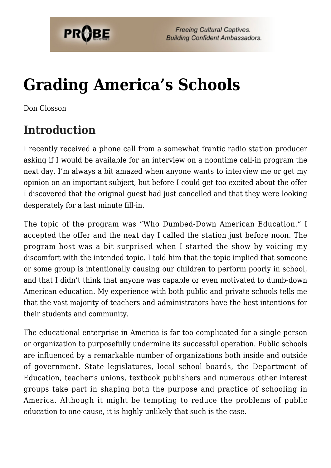

# **[Grading America's Schools](https://probe.org/grading-americas-schools/)**

Don Closson

## **Introduction**

I recently received a phone call from a somewhat frantic radio station producer asking if I would be available for an interview on a noontime call-in program the next day. I'm always a bit amazed when anyone wants to interview me or get my opinion on an important subject, but before I could get too excited about the offer I discovered that the original guest had just cancelled and that they were looking desperately for a last minute fill-in.

The topic of the program was "Who Dumbed-Down American Education." I accepted the offer and the next day I called the station just before noon. The program host was a bit surprised when I started the show by voicing my discomfort with the intended topic. I told him that the topic implied that someone or some group is intentionally causing our children to perform poorly in school, and that I didn't think that anyone was capable or even motivated to dumb-down American education. My experience with both public and private schools tells me that the vast majority of teachers and administrators have the best intentions for their students and community.

The educational enterprise in America is far too complicated for a single person or organization to purposefully undermine its successful operation. Public schools are influenced by a remarkable number of organizations both inside and outside of government. State legislatures, local school boards, the Department of Education, teacher's unions, textbook publishers and numerous other interest groups take part in shaping both the purpose and practice of schooling in America. Although it might be tempting to reduce the problems of public education to one cause, it is highly unlikely that such is the case.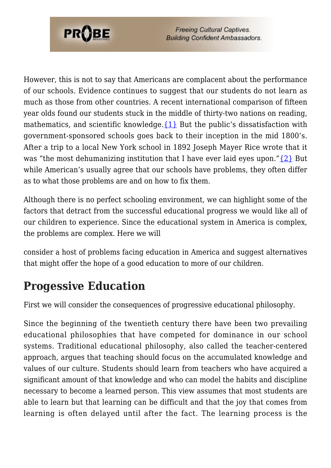

However, this is not to say that Americans are complacent about the performance of our schools. Evidence continues to suggest that our students do not learn as much as those from other countries. A recent international comparison of fifteen year olds found our students stuck in the middle of thirty-two nations on reading, mathematics, and scientific knowledge. $\{1\}$  But the public's dissatisfaction with government-sponsored schools goes back to their inception in the mid 1800's. After a trip to a local New York school in 1892 Joseph Mayer Rice wrote that it was "the most dehumanizing institution that I have ever laid eyes upon." $\{2\}$  But while American's usually agree that our schools have problems, they often differ as to what those problems are and on how to fix them.

Although there is no perfect schooling environment, we can highlight some of the factors that detract from the successful educational progress we would like all of our children to experience. Since the educational system in America is complex, the problems are complex. Here we will

consider a host of problems facing education in America and suggest alternatives that might offer the hope of a good education to more of our children.

#### **Progessive Education**

First we will consider the consequences of progressive educational philosophy.

Since the beginning of the twentieth century there have been two prevailing educational philosophies that have competed for dominance in our school systems. Traditional educational philosophy, also called the teacher-centered approach, argues that teaching should focus on the accumulated knowledge and values of our culture. Students should learn from teachers who have acquired a significant amount of that knowledge and who can model the habits and discipline necessary to become a learned person. This view assumes that most students are able to learn but that learning can be difficult and that the joy that comes from learning is often delayed until after the fact. The learning process is the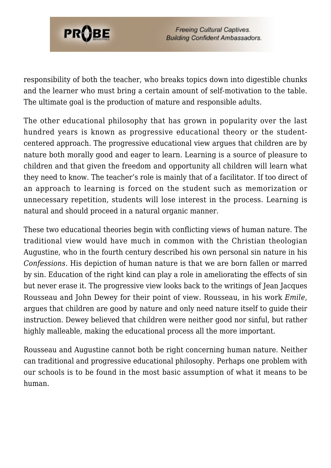

responsibility of both the teacher, who breaks topics down into digestible chunks and the learner who must bring a certain amount of self-motivation to the table. The ultimate goal is the production of mature and responsible adults.

The other educational philosophy that has grown in popularity over the last hundred years is known as progressive educational theory or the studentcentered approach. The progressive educational view argues that children are by nature both morally good and eager to learn. Learning is a source of pleasure to children and that given the freedom and opportunity all children will learn what they need to know. The teacher's role is mainly that of a facilitator. If too direct of an approach to learning is forced on the student such as memorization or unnecessary repetition, students will lose interest in the process. Learning is natural and should proceed in a natural organic manner.

These two educational theories begin with conflicting views of human nature. The traditional view would have much in common with the Christian theologian Augustine, who in the fourth century described his own personal sin nature in his *Confessions*. His depiction of human nature is that we are born fallen or marred by sin. Education of the right kind can play a role in ameliorating the effects of sin but never erase it. The progressive view looks back to the writings of Jean Jacques Rousseau and John Dewey for their point of view. Rousseau, in his work *Emile*, argues that children are good by nature and only need nature itself to guide their instruction. Dewey believed that children were neither good nor sinful, but rather highly malleable, making the educational process all the more important.

Rousseau and Augustine cannot both be right concerning human nature. Neither can traditional and progressive educational philosophy. Perhaps one problem with our schools is to be found in the most basic assumption of what it means to be human.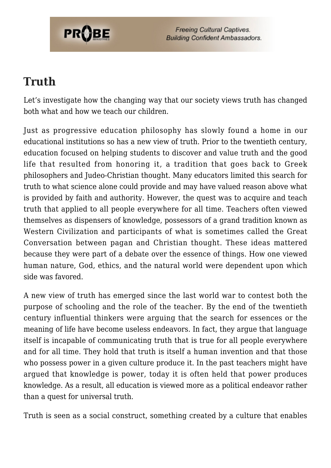

**Freeing Cultural Captives. Building Confident Ambassadors.** 

#### **Truth**

Let's investigate how the changing way that our society views truth has changed both what and how we teach our children.

Just as progressive education philosophy has slowly found a home in our educational institutions so has a new view of truth. Prior to the twentieth century, education focused on helping students to discover and value truth and the good life that resulted from honoring it, a tradition that goes back to Greek philosophers and Judeo-Christian thought. Many educators limited this search for truth to what science alone could provide and may have valued reason above what is provided by faith and authority. However, the quest was to acquire and teach truth that applied to all people everywhere for all time. Teachers often viewed themselves as dispensers of knowledge, possessors of a grand tradition known as Western Civilization and participants of what is sometimes called the Great Conversation between pagan and Christian thought. These ideas mattered because they were part of a debate over the essence of things. How one viewed human nature, God, ethics, and the natural world were dependent upon which side was favored.

A new view of truth has emerged since the last world war to contest both the purpose of schooling and the role of the teacher. By the end of the twentieth century influential thinkers were arguing that the search for essences or the meaning of life have become useless endeavors. In fact, they argue that language itself is incapable of communicating truth that is true for all people everywhere and for all time. They hold that truth is itself a human invention and that those who possess power in a given culture produce it. In the past teachers might have argued that knowledge is power, today it is often held that power produces knowledge. As a result, all education is viewed more as a political endeavor rather than a quest for universal truth.

Truth is seen as a social construct, something created by a culture that enables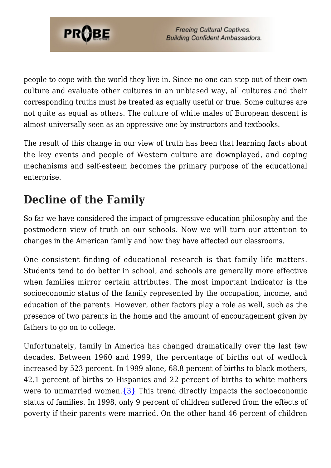

people to cope with the world they live in. Since no one can step out of their own culture and evaluate other cultures in an unbiased way, all cultures and their corresponding truths must be treated as equally useful or true. Some cultures are not quite as equal as others. The culture of white males of European descent is almost universally seen as an oppressive one by instructors and textbooks.

The result of this change in our view of truth has been that learning facts about the key events and people of Western culture are downplayed, and coping mechanisms and self-esteem becomes the primary purpose of the educational enterprise.

### **Decline of the Family**

So far we have considered the impact of progressive education philosophy and the postmodern view of truth on our schools. Now we will turn our attention to changes in the American family and how they have affected our classrooms.

One consistent finding of educational research is that family life matters. Students tend to do better in school, and schools are generally more effective when families mirror certain attributes. The most important indicator is the socioeconomic status of the family represented by the occupation, income, and education of the parents. However, other factors play a role as well, such as the presence of two parents in the home and the amount of encouragement given by fathers to go on to college.

Unfortunately, family in America has changed dramatically over the last few decades. Between 1960 and 1999, the percentage of births out of wedlock increased by 523 percent. In 1999 alone, 68.8 percent of births to black mothers, 42.1 percent of births to Hispanics and 22 percent of births to white mothers were to unmarried women. $\{3\}$  This trend directly impacts the socioeconomic status of families. In 1998, only 9 percent of children suffered from the effects of poverty if their parents were married. On the other hand 46 percent of children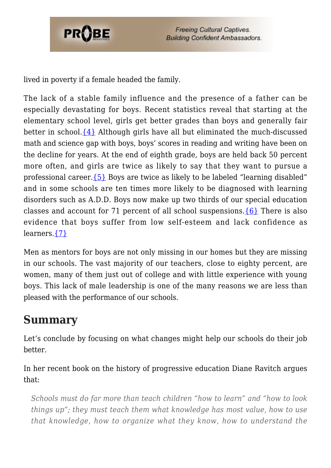

lived in poverty if a female headed the family.

The lack of a stable family influence and the presence of a father can be especially devastating for boys. Recent statistics reveal that starting at the elementary school level, girls get better grades than boys and generally fair better in school. $\{4\}$  Although girls have all but eliminated the much-discussed math and science gap with boys, boys' scores in reading and writing have been on the decline for years. At the end of eighth grade, boys are held back 50 percent more often, and girls are twice as likely to say that they want to pursue a professional career[.{5}](#page-7-4) Boys are twice as likely to be labeled "learning disabled" and in some schools are ten times more likely to be diagnosed with learning disorders such as A.D.D. Boys now make up two thirds of our special education classes and account for 71 percent of all school suspensions.  $\{6\}$  There is also evidence that boys suffer from low self-esteem and lack confidence as learners.[{7}](#page-7-6)

Men as mentors for boys are not only missing in our homes but they are missing in our schools. The vast majority of our teachers, close to eighty percent, are women, many of them just out of college and with little experience with young boys. This lack of male leadership is one of the many reasons we are less than pleased with the performance of our schools.

#### **Summary**

Let's conclude by focusing on what changes might help our schools do their job better.

In her recent book on the history of progressive education Diane Ravitch argues that:

*Schools must do far more than teach children "how to learn" and "how to look things up"; they must teach them what knowledge has most value, how to use that knowledge, how to organize what they know, how to understand the*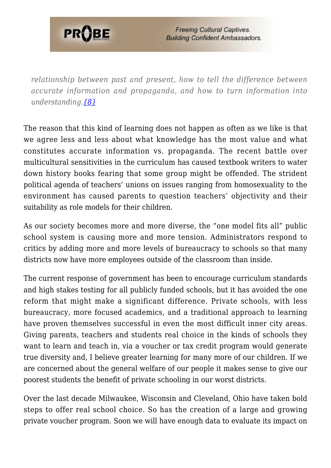

*relationship between past and present, how to tell the difference between accurate information and propaganda, and how to turn information into understanding.[{8}](#page-7-7)*

The reason that this kind of learning does not happen as often as we like is that we agree less and less about what knowledge has the most value and what constitutes accurate information vs. propaganda. The recent battle over multicultural sensitivities in the curriculum has caused textbook writers to water down history books fearing that some group might be offended. The strident political agenda of teachers' unions on issues ranging from homosexuality to the environment has caused parents to question teachers' objectivity and their suitability as role models for their children.

As our society becomes more and more diverse, the "one model fits all" public school system is causing more and more tension. Administrators respond to critics by adding more and more levels of bureaucracy to schools so that many districts now have more employees outside of the classroom than inside.

The current response of government has been to encourage curriculum standards and high stakes testing for all publicly funded schools, but it has avoided the one reform that might make a significant difference. Private schools, with less bureaucracy, more focused academics, and a traditional approach to learning have proven themselves successful in even the most difficult inner city areas. Giving parents, teachers and students real choice in the kinds of schools they want to learn and teach in, via a voucher or tax credit program would generate true diversity and, I believe greater learning for many more of our children. If we are concerned about the general welfare of our people it makes sense to give our poorest students the benefit of private schooling in our worst districts.

Over the last decade Milwaukee, Wisconsin and Cleveland, Ohio have taken bold steps to offer real school choice. So has the creation of a large and growing private voucher program. Soon we will have enough data to evaluate its impact on